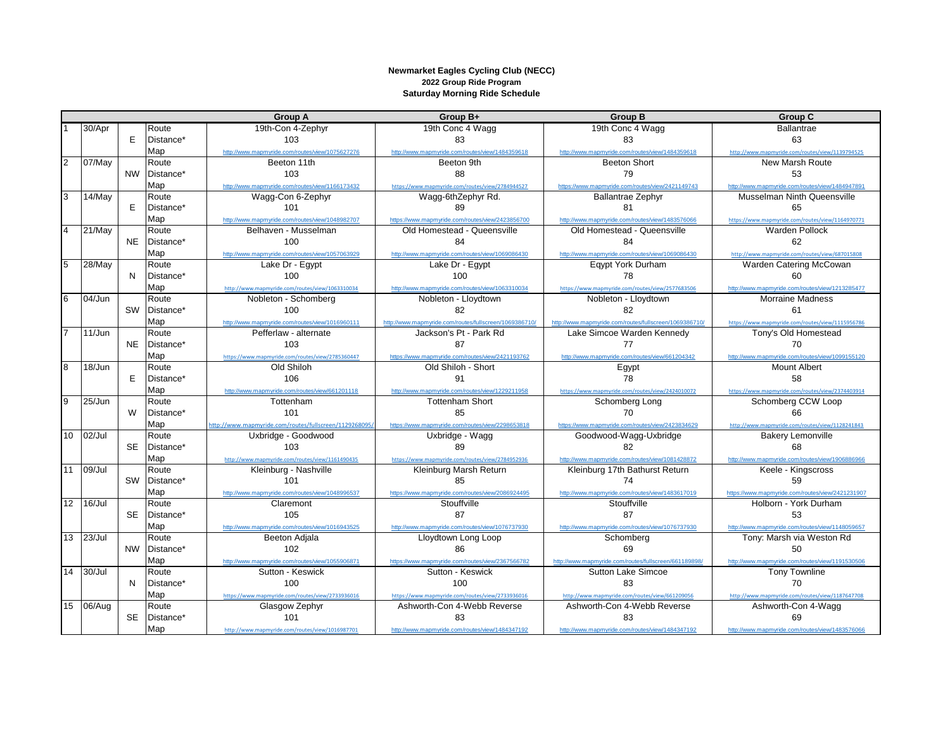## **Newmarket Eagles Cycling Club (NECC) 2022 Group Ride Program Saturday Morning Ride Schedule**

|                 |           |           |           | <b>Group A</b>                                        | Group B+                                               | <b>Group B</b>                                         | <b>Group C</b>                                   |
|-----------------|-----------|-----------|-----------|-------------------------------------------------------|--------------------------------------------------------|--------------------------------------------------------|--------------------------------------------------|
|                 | 30/Apr    |           | Route     | 19th-Con 4-Zephyr                                     | 19th Conc 4 Wagg                                       | 19th Conc 4 Wagg                                       | <b>Ballantrae</b>                                |
|                 |           | E         | Distance* | 103                                                   | 83                                                     | 83                                                     | 63                                               |
|                 |           |           | Map       | http://www.mapmyride.com/routes/view/1075627276       | http://www.mapmyride.com/routes/view/1484359618        | http://www.mapmyride.com/routes/view/1484359618        | http://www.mapmyride.com/routes/view/1139794525  |
| $\overline{2}$  | 07/May    |           | Route     | Beeton 11th                                           | Beeton 9th                                             | <b>Beeton Short</b>                                    | New Marsh Route                                  |
|                 |           | <b>NW</b> | Distance* | 103                                                   | 88                                                     | 79                                                     | 53                                               |
|                 |           |           | Map       | http://www.mapmyride.com/routes/view/1166173432       | https://www.mapmyride.com/routes/view/2784944527       | https://www.mapmyride.com/routes/view/2421149743       | http://www.mapmyride.com/routes/view/1484947891  |
| $\overline{3}$  | 14/May    |           | Route     | Wagg-Con 6-Zephyr                                     | Wagg-6thZephyr Rd.                                     | <b>Ballantrae Zephyr</b>                               | Musselman Ninth Queensville                      |
|                 |           | E         | Distance* | 101                                                   | 89                                                     | 81                                                     | 65                                               |
|                 |           |           | Map       | http://www.mapmyride.com/routes/view/1048982707       | https://www.mapmyride.com/routes/view/2423856700       | http://www.mapmyride.com/routes/view/1483576066        | https://www.mapmyride.com/routes/view/1164970771 |
| $\overline{4}$  | 21/May    |           | Route     | Belhaven - Musselman                                  | Old Homestead - Queensville                            | Old Homestead - Queensville                            | <b>Warden Pollock</b>                            |
|                 |           | <b>NE</b> | Distance* | 100                                                   | 84                                                     | 84                                                     | 62                                               |
|                 |           |           | Map       | http://www.mapmyride.com/routes/view/1057063929       | http://www.mapmyride.com/routes/view/1069086430        | http://www.mapmyride.com/routes/view/1069086430        | http://www.mapmyride.com/routes/view/687015808   |
| $\overline{5}$  | 28/May    |           | Route     | Lake Dr - Egypt                                       | Lake Dr - Egypt                                        | Eqypt York Durham                                      | Warden Catering McCowan                          |
|                 |           | N         | Distance* | 100                                                   | 100                                                    | 78                                                     | 60                                               |
|                 |           |           | Map       | http://www.mapmyride.com/routes/view/1063310034       | http://www.mapmyride.com/routes/view/1063310034        | https://www.mapmyride.com/routes/view/2577683506       | http://www.mapmyride.com/routes/view/1213285477  |
| $6\overline{6}$ | 04/Jun    |           | Route     | Nobleton - Schomberg                                  | Nobleton - Lloydtown                                   | Nobleton - Lloydtown                                   | <b>Morraine Madness</b>                          |
|                 |           | SW        | Distance* | 100                                                   | 82                                                     | 82                                                     | 61                                               |
|                 |           |           | Map       | http://www.mapmyride.com/routes/view/1016960111       | http://www.mapmyride.com/routes/fullscreen/1069386710/ | http://www.mapmyride.com/routes/fullscreen/1069386710/ | https://www.mapmyride.com/routes/view/1115956786 |
| 7               | $11/J$ un |           | Route     | Pefferlaw - alternate                                 | Jackson's Pt - Park Rd                                 | Lake Simcoe Warden Kennedy                             | Tony's Old Homestead                             |
|                 |           | <b>NE</b> | Distance* | 103                                                   | 87                                                     | 77                                                     | 70                                               |
|                 |           |           | Map       | https://www.mapmyride.com/routes/view/2785360447      | https://www.mapmyride.com/routes/view/2421193762       | http://www.mapmyride.com/routes/view/661204342         | http://www.mapmyride.com/routes/view/1099155120  |
| $\overline{8}$  | 18/Jun    |           | Route     | Old Shiloh                                            | Old Shiloh - Short                                     | Egypt                                                  | <b>Mount Albert</b>                              |
|                 |           | E         | Distance* | 106                                                   | 91                                                     | 78                                                     | 58                                               |
|                 |           |           | Map       | http://www.mapmyride.com/routes/view/661201118        | http://www.mapmyride.com/routes/view/1229211958        | https://www.mapmyride.com/routes/view/2424010072       | https://www.mapmyride.com/routes/view/2374403914 |
| 9               | 25/Jun    |           | Route     | Tottenham                                             | <b>Tottenham Short</b>                                 | Schomberg Long                                         | Schomberg CCW Loop                               |
|                 |           | W         | Distance* | 101                                                   | 85                                                     | 70                                                     | 66                                               |
|                 |           |           | Map       | http://www.mapmyride.com/routes/fullscreen/1129268095 | https://www.mapmyride.com/routes/view/2298653818       | https://www.mapmyride.com/routes/view/2423834629       | http://www.mapmyride.com/routes/view/1128241843  |
| 10              | 02/Jul    |           | Route     | Uxbridge - Goodwood                                   | Uxbridge - Wagg                                        | Goodwood-Wagg-Uxbridge                                 | <b>Bakery Lemonville</b>                         |
|                 |           | <b>SE</b> | Distance* | 103                                                   | 89                                                     | 82                                                     | 68                                               |
|                 |           |           | Map       | http://www.mapmyride.com/routes/view/1161490435       | https://www.mapmyride.com/routes/view/2784952936       | http://www.mapmyride.com/routes/view/1081428872        | http://www.mapmyride.com/routes/view/1906886966  |
| 11              | 09/Jul    |           | Route     | Kleinburg - Nashville                                 | Kleinburg Marsh Return                                 | Kleinburg 17th Bathurst Return                         | Keele - Kingscross                               |
|                 |           | SW        | Distance* | 101                                                   | 85                                                     | 74                                                     | 59                                               |
|                 |           |           | Map       | http://www.mapmyride.com/routes/view/1048996537       | https://www.mapmyride.com/routes/view/2086924495       | http://www.mapmyride.com/routes/view/1483617019        | https://www.mapmyride.com/routes/view/2421231907 |
| 12              | $16/J$ ul |           | Route     | Claremont                                             | Stouffville                                            | Stouffville                                            | Holborn - York Durham                            |
|                 |           | <b>SE</b> | Distance* | 105                                                   | 87                                                     | 87                                                     | 53                                               |
|                 |           |           | Map       | http://www.mapmyride.com/routes/view/1016943525       | http://www.mapmyride.com/routes/view/1076737930        | http://www.mapmyride.com/routes/view/1076737930        | http://www.mapmyride.com/routes/view/1148059657  |
| 13              | 23/Jul    |           | Route     | Beeton Adjala                                         | Lloydtown Long Loop                                    | Schomberg                                              | Tony: Marsh via Weston Rd                        |
|                 |           | <b>NW</b> | Distance* | 102                                                   | 86                                                     | 69                                                     | 50                                               |
|                 |           |           | Map       | http://www.mapmyride.com/routes/view/1055906871       | https://www.mapmyride.com/routes/view/2367566782       | http://www.mapmyride.com/routes/fullscreen/661189898/  | http://www.mapmyride.com/routes/view/1191530506  |
| 14              | 30/Jul    |           | Route     | Sutton - Keswick                                      | Sutton - Keswick                                       | <b>Sutton Lake Simcoe</b>                              | Tony Townline                                    |
|                 |           | N         | Distance* | 100                                                   | 100                                                    | 83                                                     | 70                                               |
|                 |           |           | Map       | https://www.mapmyride.com/routes/view/2733936016      | https://www.mapmyride.com/routes/view/2733936016       | http://www.mapmyride.com/routes/view/661209056         | http://www.mapmyride.com/routes/view/1187647708  |
| 15              | 06/Aug    |           | Route     | Glasgow Zephyr                                        | Ashworth-Con 4-Webb Reverse                            | Ashworth-Con 4-Webb Reverse                            | Ashworth-Con 4-Wagg                              |
|                 |           | <b>SE</b> | Distance* | 101                                                   | 83                                                     | 83                                                     | 69                                               |
|                 |           |           | Map       | http://www.mapmyride.com/routes/view/1016987701       | http://www.mapmyride.com/routes/view/1484347192        | http://www.mapmyride.com/routes/view/1484347192        | http://www.mapmyride.com/routes/view/1483576066  |